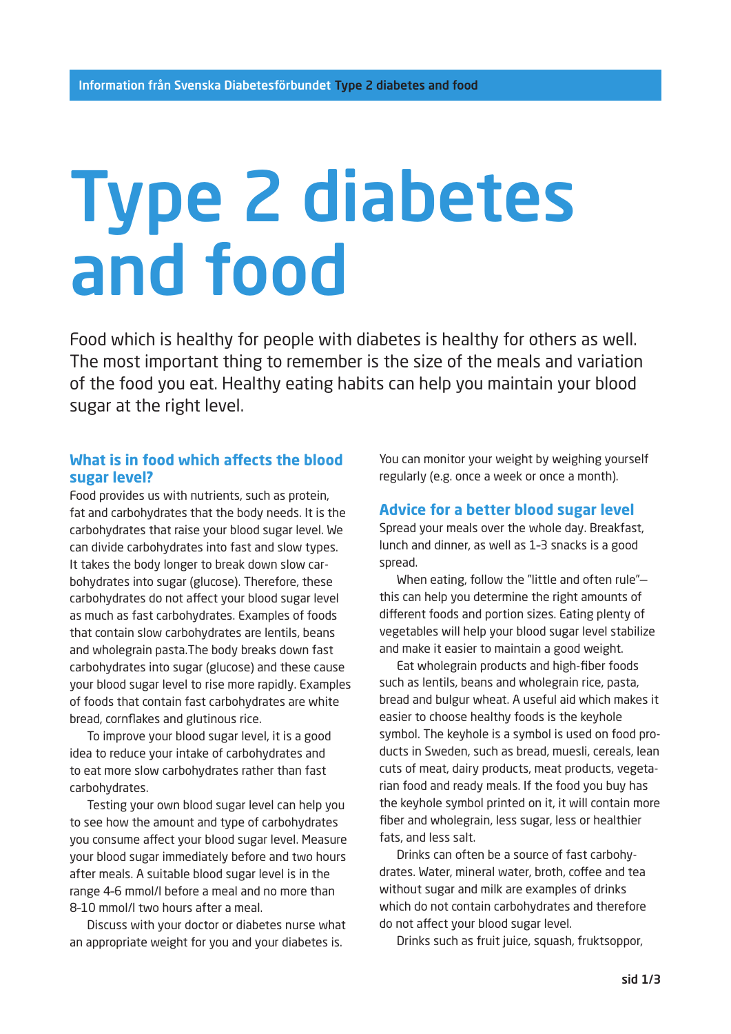# Type 2 diabetes and food

Food which is healthy for people with diabetes is healthy for others as well. The most important thing to remember is the size of the meals and variation of the food you eat. Healthy eating habits can help you maintain your blood sugar at the right level.

# **What is in food which affects the blood sugar level?**

Food provides us with nutrients, such as protein, fat and carbohydrates that the body needs. It is the carbohydrates that raise your blood sugar level. We can divide carbohydrates into fast and slow types. It takes the body longer to break down slow carbohydrates into sugar (glucose). Therefore, these carbohydrates do not affect your blood sugar level as much as fast carbohydrates. Examples of foods that contain slow carbohydrates are lentils, beans and wholegrain pasta.The body breaks down fast carbohydrates into sugar (glucose) and these cause your blood sugar level to rise more rapidly. Examples of foods that contain fast carbohydrates are white bread, cornflakes and glutinous rice.

To improve your blood sugar level, it is a good idea to reduce your intake of carbohydrates and to eat more slow carbohydrates rather than fast carbohydrates.

Testing your own blood sugar level can help you to see how the amount and type of carbohydrates you consume affect your blood sugar level. Measure your blood sugar immediately before and two hours after meals. A suitable blood sugar level is in the range 4–6 mmol/l before a meal and no more than 8–10 mmol/l two hours after a meal.

Discuss with your doctor or diabetes nurse what an appropriate weight for you and your diabetes is.

You can monitor your weight by weighing yourself regularly (e.g. once a week or once a month).

# **Advice for a better blood sugar level**

Spread your meals over the whole day. Breakfast, lunch and dinner, as well as 1–3 snacks is a good spread.

When eating, follow the "little and often rule" this can help you determine the right amounts of different foods and portion sizes. Eating plenty of vegetables will help your blood sugar level stabilize and make it easier to maintain a good weight.

Eat wholegrain products and high-fiber foods such as lentils, beans and wholegrain rice, pasta, bread and bulgur wheat. A useful aid which makes it easier to choose healthy foods is the keyhole symbol. The keyhole is a symbol is used on food products in Sweden, such as bread, muesli, cereals, lean cuts of meat, dairy products, meat products, vegetarian food and ready meals. If the food you buy has the keyhole symbol printed on it, it will contain more fiber and wholegrain, less sugar, less or healthier fats, and less salt.

Drinks can often be a source of fast carbohydrates. Water, mineral water, broth, coffee and tea without sugar and milk are examples of drinks which do not contain carbohydrates and therefore do not affect your blood sugar level.

Drinks such as fruit juice, squash, fruktsoppor,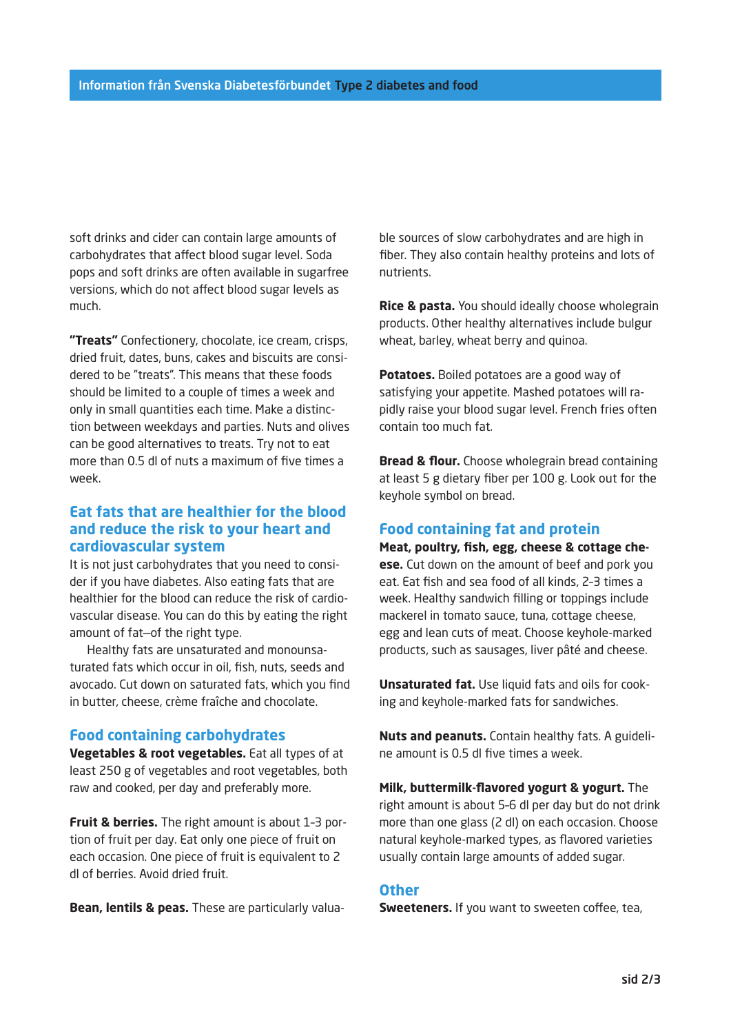soft drinks and cider can contain large amounts of carbohydrates that affect blood sugar level. Soda pops and soft drinks are often available in sugarfree versions, which do not affect blood sugar levels as much.

**"Treats"** Confectionery, chocolate, ice cream, crisps, dried fruit, dates, buns, cakes and biscuits are considered to be "treats". This means that these foods should be limited to a couple of times a week and only in small quantities each time. Make a distinction between weekdays and parties. Nuts and olives can be good alternatives to treats. Try not to eat more than 0.5 dl of nuts a maximum of five times a week.

# **Eat fats that are healthier for the blood and reduce the risk to your heart and cardiovascular system**

It is not just carbohydrates that you need to consider if you have diabetes. Also eating fats that are healthier for the blood can reduce the risk of cardiovascular disease. You can do this by eating the right amount of fat—of the right type.

Healthy fats are unsaturated and monounsaturated fats which occur in oil, fish, nuts, seeds and avocado. Cut down on saturated fats, which you find in butter, cheese, crème fraîche and chocolate.

## **Food containing carbohydrates**

**Vegetables & root vegetables.** Eat all types of at least 250 g of vegetables and root vegetables, both raw and cooked, per day and preferably more.

**Fruit & berries.** The right amount is about 1–3 portion of fruit per day. Eat only one piece of fruit on each occasion. One piece of fruit is equivalent to 2 dl of berries. Avoid dried fruit.

**Bean, lentils & peas.** These are particularly valua-

ble sources of slow carbohydrates and are high in fiber. They also contain healthy proteins and lots of nutrients.

**Rice & pasta.** You should ideally choose wholegrain products. Other healthy alternatives include bulgur wheat, barley, wheat berry and quinoa.

**Potatoes.** Boiled potatoes are a good way of satisfying your appetite. Mashed potatoes will rapidly raise your blood sugar level. French fries often contain too much fat.

**Bread & flour.** Choose wholegrain bread containing at least 5 g dietary fiber per 100 g. Look out for the keyhole symbol on bread.

## **Food containing fat and protein**

**Meat, poultry, fish, egg, cheese & cottage cheese.** Cut down on the amount of beef and pork you eat. Eat fish and sea food of all kinds, 2–3 times a week. Healthy sandwich filling or toppings include mackerel in tomato sauce, tuna, cottage cheese, egg and lean cuts of meat. Choose keyhole-marked products, such as sausages, liver pâté and cheese.

**Unsaturated fat.** Use liquid fats and oils for cooking and keyhole-marked fats for sandwiches.

**Nuts and peanuts.** Contain healthy fats. A guideline amount is 0.5 dl five times a week.

**Milk, buttermilk-flavored yogurt & yogurt.** The right amount is about 5–6 dl per day but do not drink more than one glass (2 dl) on each occasion. Choose natural keyhole-marked types, as flavored varieties usually contain large amounts of added sugar.

## **Other**

**Sweeteners.** If you want to sweeten coffee, tea,